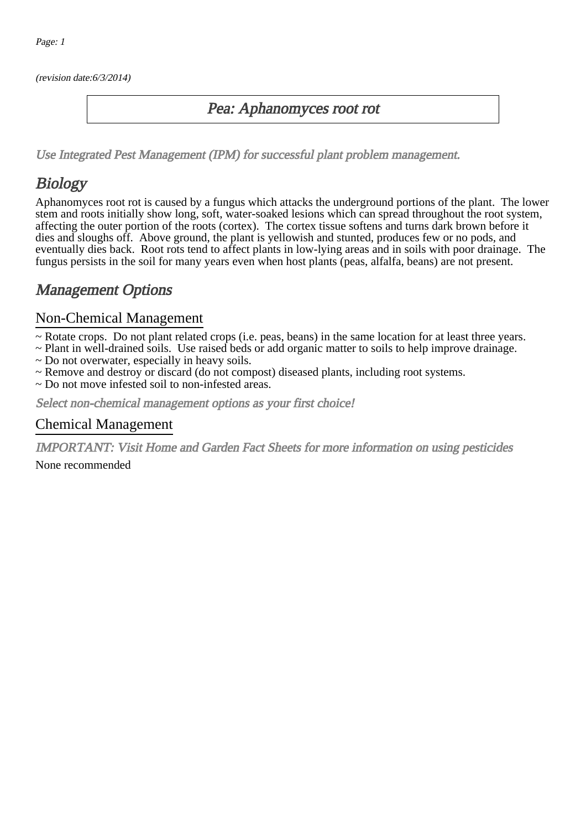(revision date:6/3/2014)

### Pea: Aphanomyces root rot

[Use Integrated Pest Management \(IPM\) for successful plant problem management.](http://pep.wsu.edu/Home_Garden/H_G_Pesticide_info/urban_Integrated_Pest_Managmen/)

## **Biology**

Aphanomyces root rot is caused by a fungus which attacks the underground portions of the plant. The lower stem and roots initially show long, soft, water-soaked lesions which can spread throughout the root system, affecting the outer portion of the roots (cortex). The cortex tissue softens and turns dark brown before it dies and sloughs off. Above ground, the plant is yellowish and stunted, produces few or no pods, and eventually dies back. Root rots tend to affect plants in low-lying areas and in soils with poor drainage. The fungus persists in the soil for many years even when host plants (peas, alfalfa, beans) are not present.

## Management Options

#### Non-Chemical Management

- ~ Rotate crops. Do not plant related crops (i.e. peas, beans) in the same location for at least three years.
- ~ Plant in well-drained soils. Use raised beds or add organic matter to soils to help improve drainage.
- ~ Do not overwater, especially in heavy soils.
- ~ Remove and destroy or discard (do not compost) diseased plants, including root systems.
- ~ Do not move infested soil to non-infested areas.

Select non-chemical management options as your first choice!

#### Chemical Management

IMPORTANT: [Visit Home and Garden Fact Sheets for more information on using pesticides](http://pep.wsu.edu/Home_Garden/H_G_Pesticide_info/)

None recommended